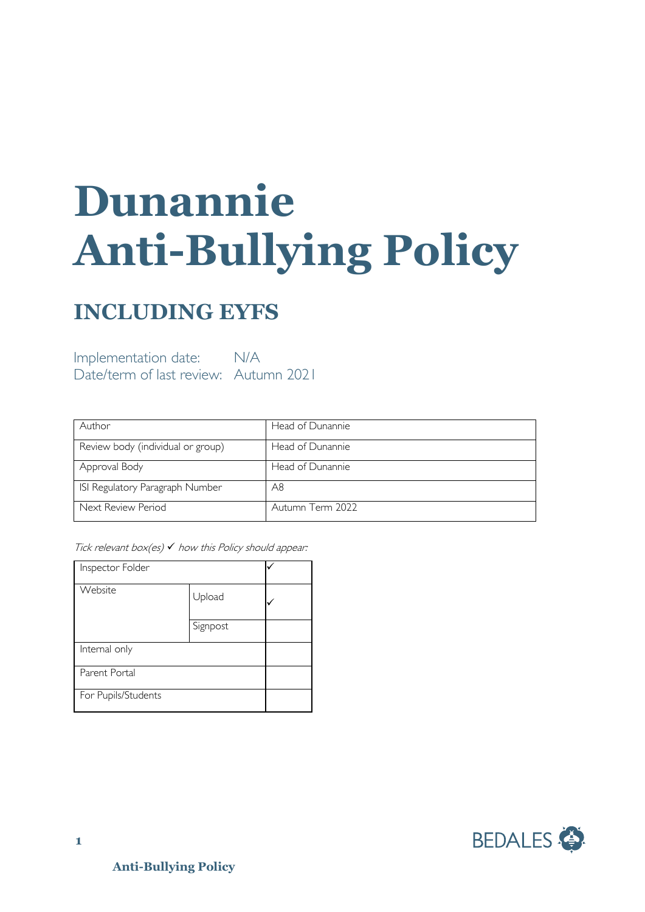# **Dunannie Anti-Bullying Policy**

# **INCLUDING EYFS**

Implementation date: N/A Date/term of last review: Autumn 2021

| Author                            | Head of Dunannie |
|-----------------------------------|------------------|
| Review body (individual or group) | Head of Dunannie |
| Approval Body                     | Head of Dunannie |
| ISI Regulatory Paragraph Number   | A8               |
| Next Review Period                | Autumn Term 2022 |

Tick relevant box(es)  $\checkmark$  how this Policy should appear:

| Inspector Folder    |          |  |
|---------------------|----------|--|
| Website             | Upload   |  |
|                     | Signpost |  |
| Internal only       |          |  |
| Parent Portal       |          |  |
| For Pupils/Students |          |  |

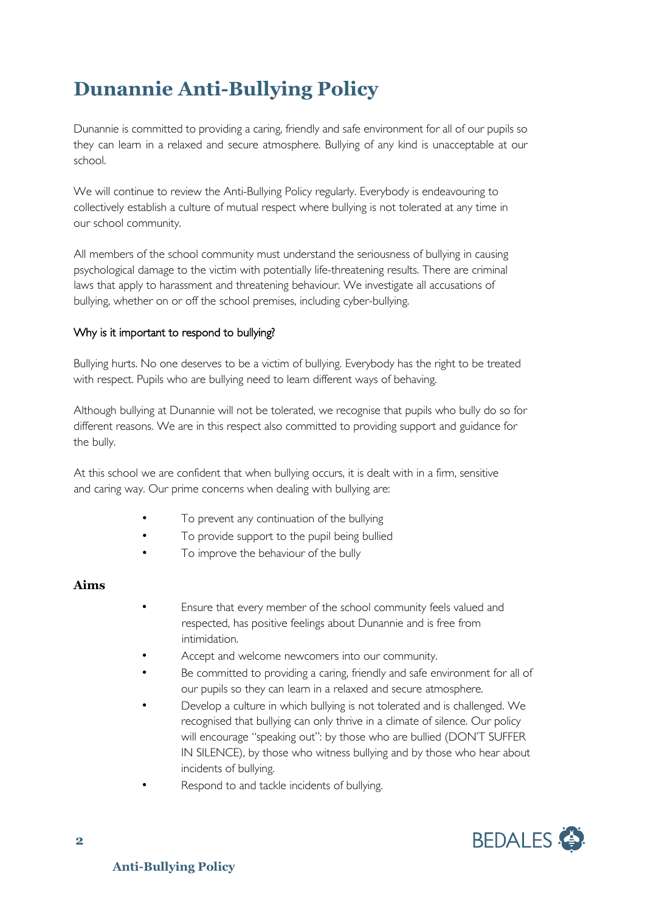# **Dunannie Anti-Bullying Policy**

Dunannie is committed to providing a caring, friendly and safe environment for all of our pupils so they can learn in a relaxed and secure atmosphere. Bullying of any kind is unacceptable at our school.

We will continue to review the Anti-Bullying Policy regularly. Everybody is endeavouring to collectively establish a culture of mutual respect where bullying is not tolerated at any time in our school community.

All members of the school community must understand the seriousness of bullying in causing psychological damage to the victim with potentially life-threatening results. There are criminal laws that apply to harassment and threatening behaviour. We investigate all accusations of bullying, whether on or off the school premises, including cyber-bullying.

#### Why is it important to respond to bullying?

Bullying hurts. No one deserves to be a victim of bullying. Everybody has the right to be treated with respect. Pupils who are bullying need to learn different ways of behaving.

Although bullying at Dunannie will not be tolerated, we recognise that pupils who bully do so for different reasons. We are in this respect also committed to providing support and guidance for the bully.

At this school we are confident that when bullying occurs, it is dealt with in a firm, sensitive and caring way. Our prime concerns when dealing with bullying are:

- To prevent any continuation of the bullying
- To provide support to the pupil being bullied
- To improve the behaviour of the bully

#### **Aims**

- Ensure that every member of the school community feels valued and respected, has positive feelings about Dunannie and is free from intimidation.
- Accept and welcome newcomers into our community.
- Be committed to providing a caring, friendly and safe environment for all of our pupils so they can learn in a relaxed and secure atmosphere.
- Develop a culture in which bullying is not tolerated and is challenged. We recognised that bullying can only thrive in a climate of silence. Our policy will encourage "speaking out": by those who are bullied (DON'T SUFFER IN SILENCE), by those who witness bullying and by those who hear about incidents of bullying.
- Respond to and tackle incidents of bullying.

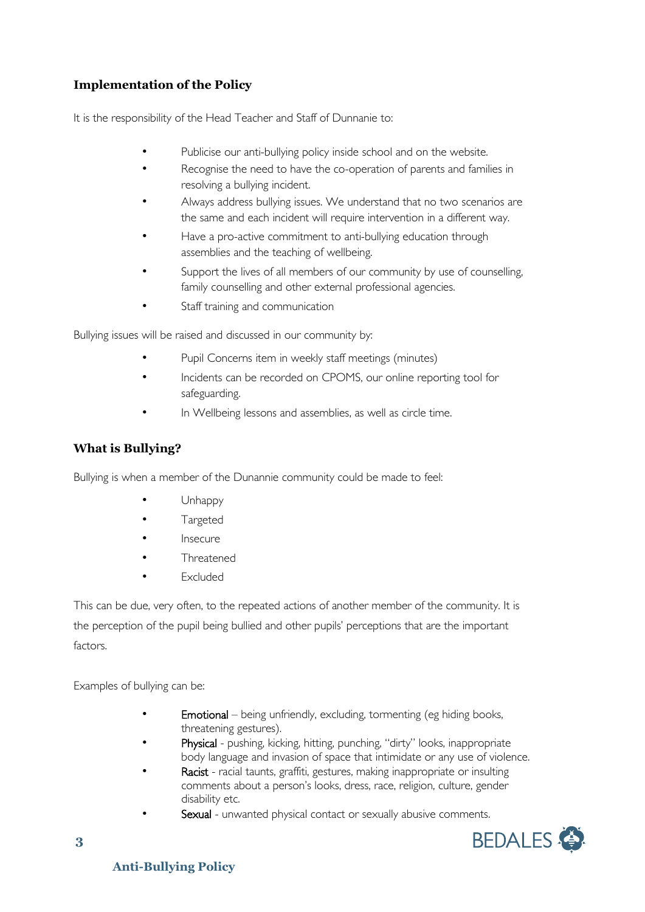## **Implementation of the Policy**

It is the responsibility of the Head Teacher and Staff of Dunnanie to:

- Publicise our anti-bullying policy inside school and on the website.
- Recognise the need to have the co-operation of parents and families in resolving a bullying incident.
- Always address bullying issues. We understand that no two scenarios are the same and each incident will require intervention in a different way.
- Have a pro-active commitment to anti-bullying education through assemblies and the teaching of wellbeing.
- Support the lives of all members of our community by use of counselling, family counselling and other external professional agencies.
- Staff training and communication

Bullying issues will be raised and discussed in our community by:

- Pupil Concerns item in weekly staff meetings (minutes)
- Incidents can be recorded on CPOMS, our online reporting tool for safeguarding.
- In Wellbeing lessons and assemblies, as well as circle time.

#### **What is Bullying?**

Bullying is when a member of the Dunannie community could be made to feel:

- Unhappy
- **Targeted**
- **Insecure**
- **Threatened**
- **Fxcluded**

This can be due, very often, to the repeated actions of another member of the community. It is the perception of the pupil being bullied and other pupils' perceptions that are the important factors.

Examples of bullying can be:

- **Emotional** being unfriendly, excluding, tormenting (eg hiding books, threatening gestures).
- Physical pushing, kicking, hitting, punching, "dirty" looks, inappropriate body language and invasion of space that intimidate or any use of violence.
- Racist racial taunts, graffiti, gestures, making inappropriate or insulting comments about a person's looks, dress, race, religion, culture, gender disability etc.
- Sexual unwanted physical contact or sexually abusive comments.

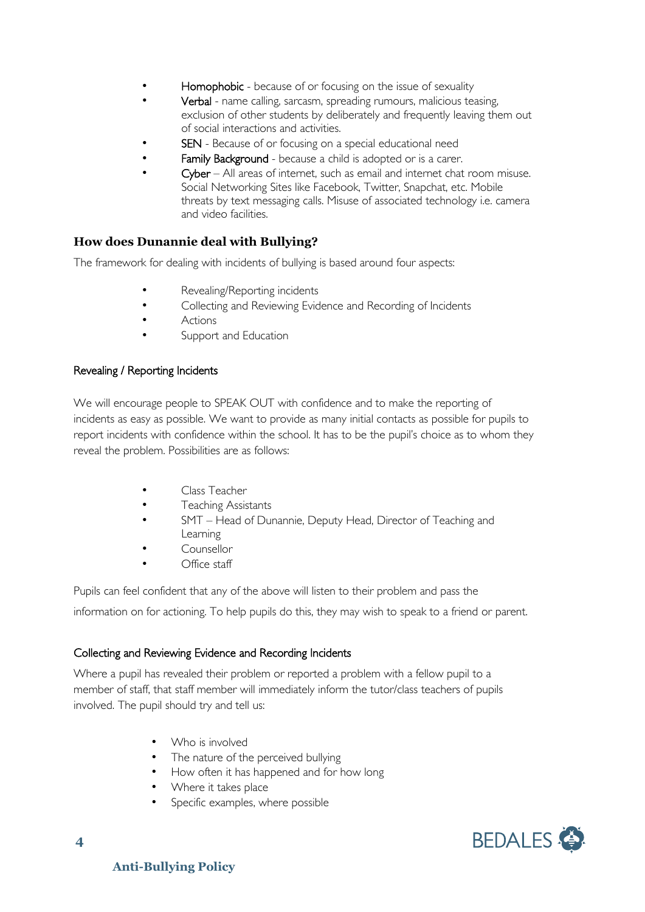- Homophobic because of or focusing on the issue of sexuality
- Verbal name calling, sarcasm, spreading rumours, malicious teasing, exclusion of other students by deliberately and frequently leaving them out of social interactions and activities.
- **SEN** Because of or focusing on a special educational need
- Family Background because a child is adopted or is a carer.
- Cyber All areas of internet, such as email and internet chat room misuse. Social Networking Sites like Facebook, Twitter, Snapchat, etc. Mobile threats by text messaging calls. Misuse of associated technology i.e. camera and video facilities.

#### **How does Dunannie deal with Bullying?**

The framework for dealing with incidents of bullying is based around four aspects:

- Revealing/Reporting incidents
- Collecting and Reviewing Evidence and Recording of Incidents
- Actions
- Support and Education

#### Revealing / Reporting Incidents

We will encourage people to SPEAK OUT with confidence and to make the reporting of incidents as easy as possible. We want to provide as many initial contacts as possible for pupils to report incidents with confidence within the school. It has to be the pupil's choice as to whom they reveal the problem. Possibilities are as follows:

- Class Teacher
- Teaching Assistants
- SMT Head of Dunannie, Deputy Head, Director of Teaching and Learning
- Counsellor
- Office staff

Pupils can feel confident that any of the above will listen to their problem and pass the information on for actioning. To help pupils do this, they may wish to speak to a friend or parent.

#### Collecting and Reviewing Evidence and Recording Incidents

Where a pupil has revealed their problem or reported a problem with a fellow pupil to a member of staff, that staff member will immediately inform the tutor/class teachers of pupils involved. The pupil should try and tell us:

- Who is involved
- The nature of the perceived bullying
- How often it has happened and for how long
- Where it takes place
- Specific examples, where possible

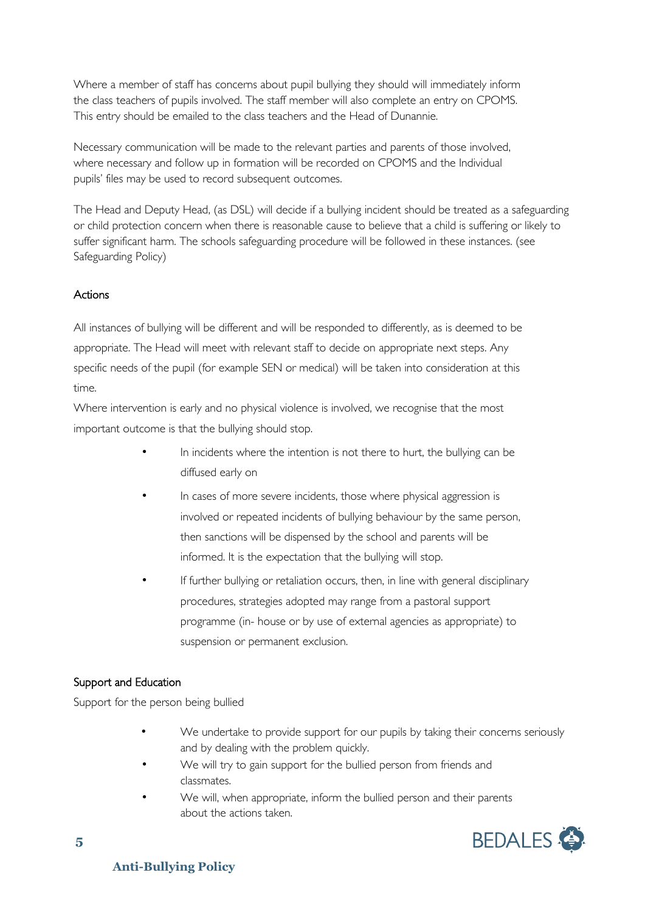Where a member of staff has concerns about pupil bullying they should will immediately inform the class teachers of pupils involved. The staff member will also complete an entry on CPOMS. This entry should be emailed to the class teachers and the Head of Dunannie.

Necessary communication will be made to the relevant parties and parents of those involved, where necessary and follow up in formation will be recorded on CPOMS and the Individual pupils' files may be used to record subsequent outcomes.

The Head and Deputy Head, (as DSL) will decide if a bullying incident should be treated as a safeguarding or child protection concern when there is reasonable cause to believe that a child is suffering or likely to suffer significant harm. The schools safeguarding procedure will be followed in these instances. (see Safeguarding Policy)

#### Actions

All instances of bullying will be different and will be responded to differently, as is deemed to be appropriate. The Head will meet with relevant staff to decide on appropriate next steps. Any specific needs of the pupil (for example SEN or medical) will be taken into consideration at this time.

Where intervention is early and no physical violence is involved, we recognise that the most important outcome is that the bullying should stop.

- In incidents where the intention is not there to hurt, the bullying can be diffused early on
- In cases of more severe incidents, those where physical aggression is involved or repeated incidents of bullying behaviour by the same person, then sanctions will be dispensed by the school and parents will be informed. It is the expectation that the bullying will stop.
- If further bullying or retaliation occurs, then, in line with general disciplinary procedures, strategies adopted may range from a pastoral support programme (in- house or by use of external agencies as appropriate) to suspension or permanent exclusion.

#### Support and Education

Support for the person being bullied

- We undertake to provide support for our pupils by taking their concerns seriously and by dealing with the problem quickly.
- We will try to gain support for the bullied person from friends and classmates.
- We will, when appropriate, inform the bullied person and their parents about the actions taken.

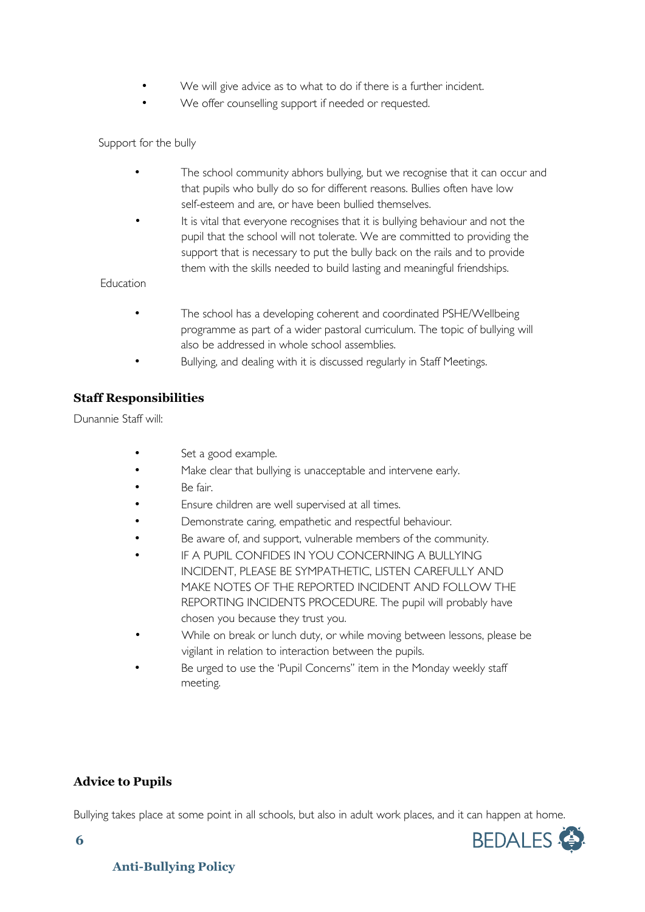- We will give advice as to what to do if there is a further incident.
- We offer counselling support if needed or requested.

Support for the bully

- The school community abhors bullying, but we recognise that it can occur and that pupils who bully do so for different reasons. Bullies often have low self-esteem and are, or have been bullied themselves.
- It is vital that everyone recognises that it is bullying behaviour and not the pupil that the school will not tolerate. We are committed to providing the support that is necessary to put the bully back on the rails and to provide them with the skills needed to build lasting and meaningful friendships.

**Education** 

- The school has a developing coherent and coordinated PSHE/Wellbeing programme as part of a wider pastoral curriculum. The topic of bullying will also be addressed in whole school assemblies.
- Bullying, and dealing with it is discussed regularly in Staff Meetings.

#### **Staff Responsibilities**

Dunannie Staff will:

- Set a good example.
- Make clear that bullying is unacceptable and intervene early.
- Be fair.
- Ensure children are well supervised at all times.
- Demonstrate caring, empathetic and respectful behaviour.
- Be aware of, and support, vulnerable members of the community.
- IF A PUPIL CONFIDES IN YOU CONCERNING A BULLYING INCIDENT, PLEASE BE SYMPATHETIC, LISTEN CAREFULLY AND MAKE NOTES OF THE REPORTED INCIDENT AND FOLLOW THE REPORTING INCIDENTS PROCEDURE. The pupil will probably have chosen you because they trust you.
- While on break or lunch duty, or while moving between lessons, please be vigilant in relation to interaction between the pupils.
- Be urged to use the 'Pupil Concerns" item in the Monday weekly staff meeting.

#### **Advice to Pupils**

Bullying takes place at some point in all schools, but also in adult work places, and it can happen at home.



**Anti-Bullying Policy**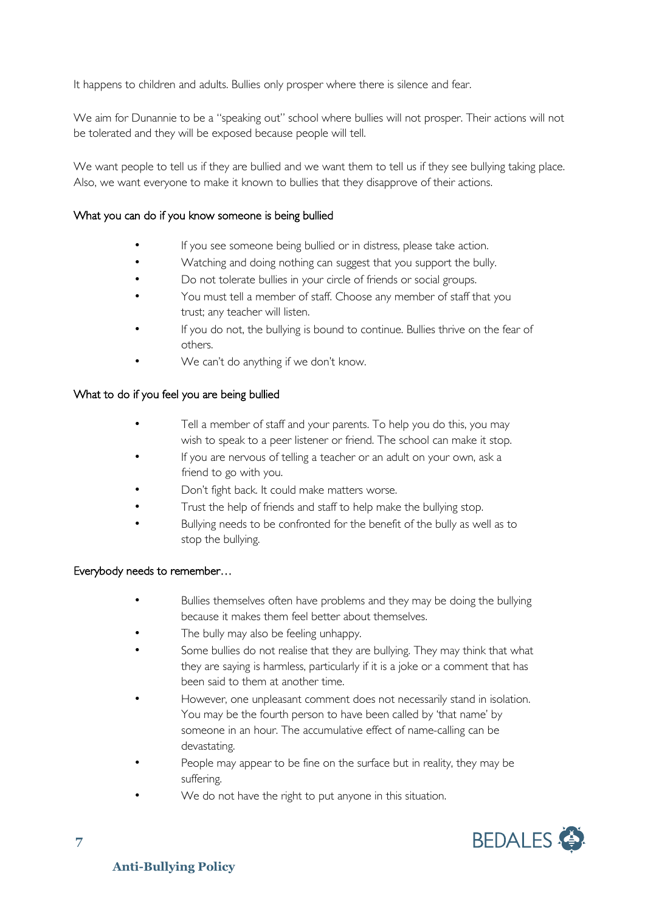It happens to children and adults. Bullies only prosper where there is silence and fear.

We aim for Dunannie to be a "speaking out" school where bullies will not prosper. Their actions will not be tolerated and they will be exposed because people will tell.

We want people to tell us if they are bullied and we want them to tell us if they see bullying taking place. Also, we want everyone to make it known to bullies that they disapprove of their actions.

#### What you can do if you know someone is being bullied

- If you see someone being bullied or in distress, please take action.
- Watching and doing nothing can suggest that you support the bully.
- Do not tolerate bullies in your circle of friends or social groups.
- You must tell a member of staff. Choose any member of staff that you trust; any teacher will listen.
- If you do not, the bullying is bound to continue. Bullies thrive on the fear of others.
- We can't do anything if we don't know.

#### What to do if you feel you are being bullied

- Tell a member of staff and your parents. To help you do this, you may wish to speak to a peer listener or friend. The school can make it stop.
- If you are nervous of telling a teacher or an adult on your own, ask a friend to go with you.
- Don't fight back. It could make matters worse.
- Trust the help of friends and staff to help make the bullying stop.
- Bullying needs to be confronted for the benefit of the bully as well as to stop the bullying.

#### Everybody needs to remember…

- Bullies themselves often have problems and they may be doing the bullying because it makes them feel better about themselves.
- The bully may also be feeling unhappy.
- Some bullies do not realise that they are bullying. They may think that what they are saying is harmless, particularly if it is a joke or a comment that has been said to them at another time.
- However, one unpleasant comment does not necessarily stand in isolation. You may be the fourth person to have been called by 'that name' by someone in an hour. The accumulative effect of name-calling can be devastating.
- People may appear to be fine on the surface but in reality, they may be suffering.
- We do not have the right to put anyone in this situation.

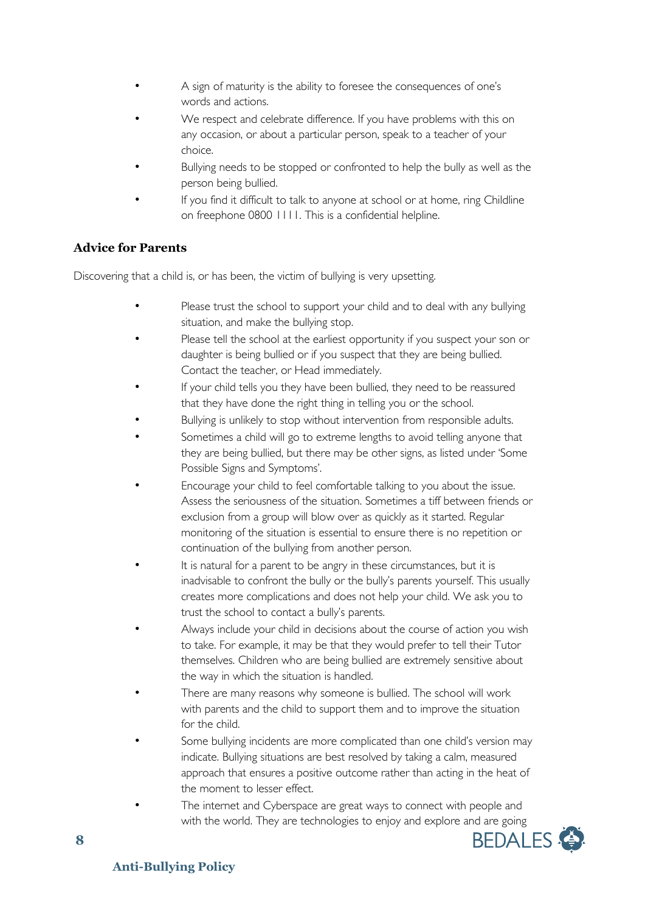- A sign of maturity is the ability to foresee the consequences of one's words and actions.
- We respect and celebrate difference. If you have problems with this on any occasion, or about a particular person, speak to a teacher of your choice.
- Bullying needs to be stopped or confronted to help the bully as well as the person being bullied.
- If you find it difficult to talk to anyone at school or at home, ring Childline on freephone 0800 1111. This is a confidential helpline.

## **Advice for Parents**

Discovering that a child is, or has been, the victim of bullying is very upsetting.

- Please trust the school to support your child and to deal with any bullying situation, and make the bullying stop.
- Please tell the school at the earliest opportunity if you suspect your son or daughter is being bullied or if you suspect that they are being bullied. Contact the teacher, or Head immediately.
- If your child tells you they have been bullied, they need to be reassured that they have done the right thing in telling you or the school.
- Bullying is unlikely to stop without intervention from responsible adults.
- Sometimes a child will go to extreme lengths to avoid telling anyone that they are being bullied, but there may be other signs, as listed under 'Some Possible Signs and Symptoms'.
- Encourage your child to feel comfortable talking to you about the issue. Assess the seriousness of the situation. Sometimes a tiff between friends or exclusion from a group will blow over as quickly as it started. Regular monitoring of the situation is essential to ensure there is no repetition or continuation of the bullying from another person.
- It is natural for a parent to be angry in these circumstances, but it is inadvisable to confront the bully or the bully's parents yourself. This usually creates more complications and does not help your child. We ask you to trust the school to contact a bully's parents.
- Always include your child in decisions about the course of action you wish to take. For example, it may be that they would prefer to tell their Tutor themselves. Children who are being bullied are extremely sensitive about the way in which the situation is handled.
- There are many reasons why someone is bullied. The school will work with parents and the child to support them and to improve the situation for the child.
- Some bullying incidents are more complicated than one child's version may indicate. Bullying situations are best resolved by taking a calm, measured approach that ensures a positive outcome rather than acting in the heat of the moment to lesser effect.
- The internet and Cyberspace are great ways to connect with people and with the world. They are technologies to enjoy and explore and are going